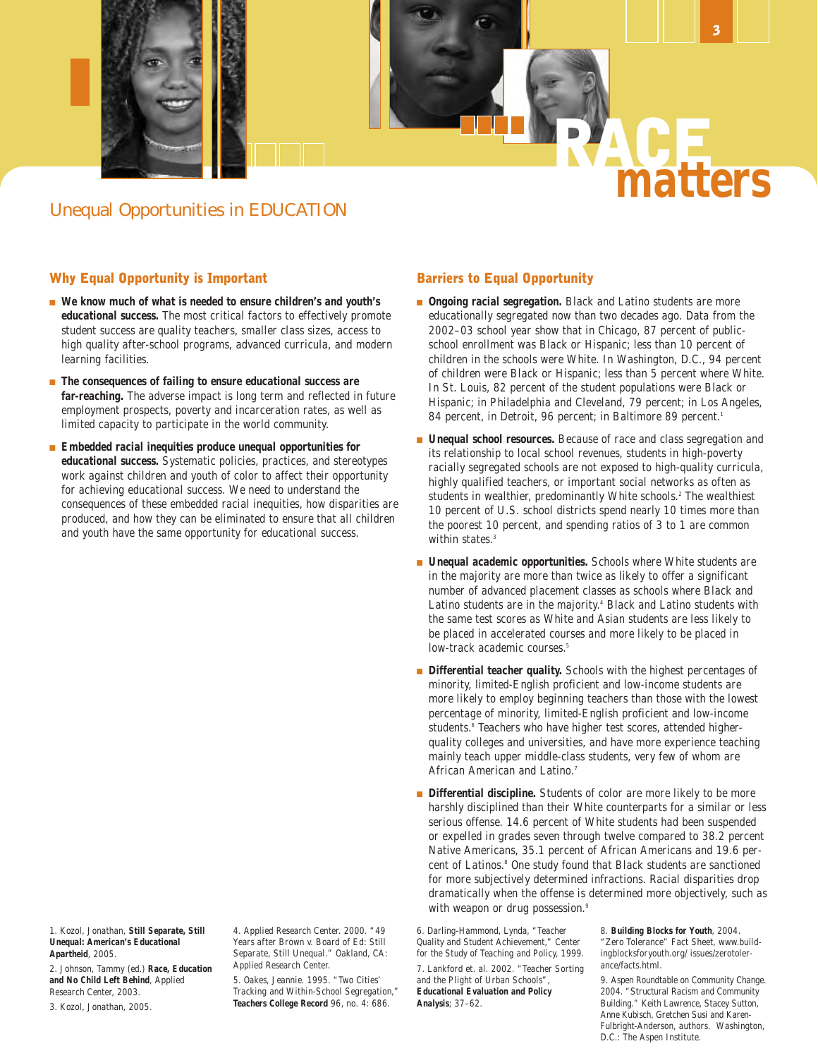

## Why Equal Opportunity is Important

- We know much of what is needed to ensure children's and youth's **educational success.** The most critical factors to effectively promote student success are quality teachers, smaller class sizes, access to high quality after-school programs, advanced curricula, and modern learning facilities.
- **The consequences of failing to ensure educational success are far-reaching.** The adverse impact is long term and reflected in future employment prospects, poverty and incarceration rates, as well as limited capacity to participate in the world community.
- **Embedded racial inequities produce unequal opportunities for educational success.** Systematic policies, practices, and stereotypes work against children and youth of color to affect their opportunity for achieving educational success. We need to understand the consequences of these embedded racial inequities, how disparities are produced, and how they can be eliminated to ensure that all children and youth have the same opportunity for educational success.

1. Kozol, Jonathan, **Still Separate, Still Unequal: American's Educational Apartheid**, 2005.

2. Johnson, Tammy (ed.) **Race, Education and No Child Left Behind**, Applied Research Center, 2003.

3. Kozol, Jonathan, 2005.

4. Applied Research Center. 2000. "49 Years after Brown v. Board of Ed: Still Separate, Still Unequal." Oakland, CA: Applied Research Center.

5. Oakes, Jeannie. 1995. "Two Cities' Tracking and Within-School Segregation," **Teachers College Record** 96, no. 4: 686.

### Barriers to Equal Opportunity

- **Ongoing racial segregation**. Black and Latino students are more educationally segregated now than two decades ago. Data from the 2002–03 school year show that in Chicago, 87 percent of publicschool enrollment was Black or Hispanic; less than 10 percent of children in the schools were White. In Washington, D.C., 94 percent of children were Black or Hispanic; less than 5 percent where White. In St. Louis, 82 percent of the student populations were Black or Hispanic; in Philadelphia and Cleveland, 79 percent; in Los Angeles, 84 percent, in Detroit, 96 percent; in Baltimore 89 percent.<sup>1</sup>
- **Unequal school resources.** Because of race and class segregation and its relationship to local school revenues, students in high-poverty racially segregated schools are not exposed to high-quality curricula, highly qualified teachers, or important social networks as often as students in wealthier, predominantly White schools.<sup>2</sup> The wealthiest 10 percent of U.S. school districts spend nearly 10 times more than the poorest 10 percent, and spending ratios of 3 to 1 are common within states.<sup>3</sup>
- **Unequal academic opportunities**. Schools where White students are in the majority are more than twice as likely to offer a significant number of advanced placement classes as schools where Black and Latino students are in the majority.<sup>4</sup> Black and Latino students with the same test scores as White and Asian students are less likely to be placed in accelerated courses and more likely to be placed in low-track academic courses.<sup>5</sup>
- Differential teacher quality. Schools with the highest percentages of minority, limited-English proficient and low-income students are more likely to employ beginning teachers than those with the lowest percentage of minority, limited-English proficient and low-income students.<sup>6</sup> Teachers who have higher test scores, attended higherquality colleges and universities, and have more experience teaching mainly teach upper middle-class students, very few of whom are African American and Latino.<sup>7</sup>
- Differential discipline. Students of color are more likely to be more harshly disciplined than their White counterparts for a similar or less serious offense. 14.6 percent of White students had been suspended or expelled in grades seven through twelve compared to 38.2 percent Native Americans, 35.1 percent of African Americans and 19.6 percent of Latinos.<sup>8</sup> One study found that Black students are sanctioned for more subjectively determined infractions. Racial disparities drop dramatically when the offense is determined more objectively, such as with weapon or drug possession.<sup>9</sup>

6. Darling-Hammond, Lynda, "Teacher Quality and Student Achievement," Center for the Study of Teaching and Policy, 1999. 7. Lankford et. al. 2002. "Teacher Sorting and the Plight of Urban Schools", **Educational Evaluation and Policy Analysis**; 37–62.

8. **Building Blocks for Youth**, 2004. "Zero Tolerance" Fact Sheet, www.buildingblocksforyouth.org/ issues/zerotolerance/facts.html.

9. Aspen Roundtable on Community Change. 2004. "Structural Racism and Community Building." Keith Lawrence, Stacey Sutton, Anne Kubisch, Gretchen Susi and Karen-Fulbright-Anderson, authors. Washington, D.C.: The Aspen Institute.